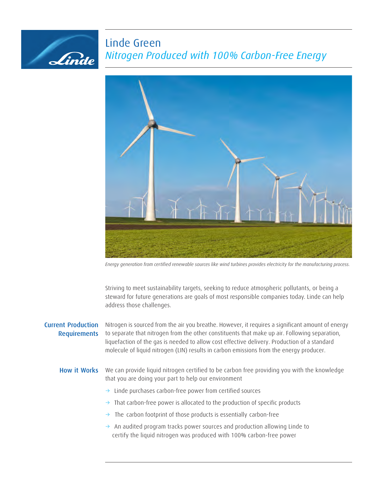# Linde Green *Nitrogen Produced with 100% Carbon-Free Energy*



*Energy generation from certified renewable sources like wind turbines provides electricity for the manufacturing process.*

Striving to meet sustainability targets, seeking to reduce atmospheric pollutants, or being a steward for future generations are goals of most responsible companies today. Linde can help address those challenges.

# Current Production **Requirements**

Linde

Nitrogen is sourced from the air you breathe. However, it requires a significant amount of energy to separate that nitrogen from the other constituents that make up air. Following separation, liquefaction of the gas is needed to allow cost effective delivery. Production of a standard molecule of liquid nitrogen (LIN) results in carbon emissions from the energy producer.

#### How it Works We can provide liquid nitrogen certified to be carbon free providing you with the knowledge that you are doing your part to help our environment

- $\rightarrow$  Linde purchases carbon-free power from certified sources
- $\rightarrow$  That carbon-free power is allocated to the production of specific products
- $\rightarrow$  The carbon footprint of those products is essentially carbon-free
- $\rightarrow$  An audited program tracks power sources and production allowing Linde to certify the liquid nitrogen was produced with 100% carbon-free power